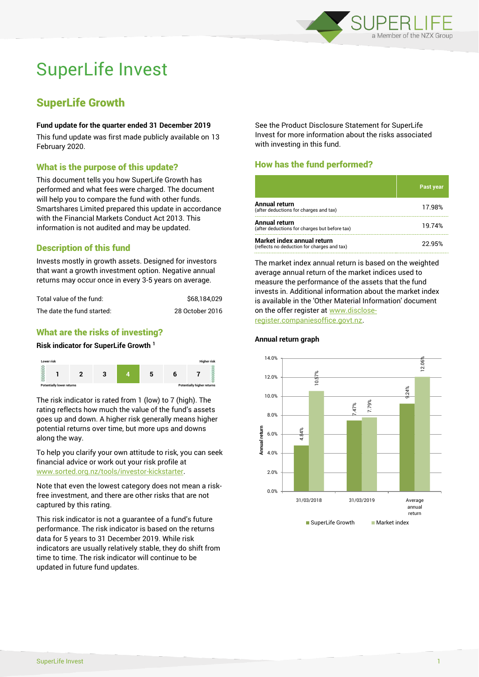

# SuperLife Invest

# SuperLife Growth

#### **Fund update for the quarter ended 31 December 2019**

This fund update was first made publicly available on 13 February 2020.

# What is the purpose of this update?

This document tells you how SuperLife Growth has performed and what fees were charged. The document will help you to compare the fund with other funds. Smartshares Limited prepared this update in accordance with the Financial Markets Conduct Act 2013. This information is not audited and may be updated.

# Description of this fund

Invests mostly in growth assets. Designed for investors that want a growth investment option. Negative annual returns may occur once in every 3-5 years on average.

| Total value of the fund:   | \$68.184.029    |
|----------------------------|-----------------|
| The date the fund started: | 28 October 2016 |

# What are the risks of investing?

#### **Risk indicator for SuperLife Growth <sup>1</sup>**



The risk indicator is rated from 1 (low) to 7 (high). The rating reflects how much the value of the fund's assets goes up and down. A higher risk generally means higher potential returns over time, but more ups and downs along the way.

To help you clarify your own attitude to risk, you can seek financial advice or work out your risk profile at [www.sorted.org.nz/tools/investor-kickstarter.](http://www.sorted.org.nz/tools/investor-kickstarter)

Note that even the lowest category does not mean a riskfree investment, and there are other risks that are not captured by this rating.

This risk indicator is not a guarantee of a fund's future performance. The risk indicator is based on the returns data for 5 years to 31 December 2019. While risk indicators are usually relatively stable, they do shift from time to time. The risk indicator will continue to be updated in future fund updates.

See the Product Disclosure Statement for SuperLife Invest for more information about the risks associated with investing in this fund.

# How has the fund performed?

|                                                                           | <b>Past year</b> |
|---------------------------------------------------------------------------|------------------|
| Annual return<br>(after deductions for charges and tax)                   | 17.98%           |
| Annual return<br>(after deductions for charges but before tax)            | 19.74%           |
| Market index annual return<br>(reflects no deduction for charges and tax) | 22.95%           |

The market index annual return is based on the weighted average annual return of the market indices used to measure the performance of the assets that the fund invests in. Additional information about the market index is available in the 'Other Material Information' document on the offer register at www.discloseregister.companiesoffice.govt.nz.



#### **Annual return graph**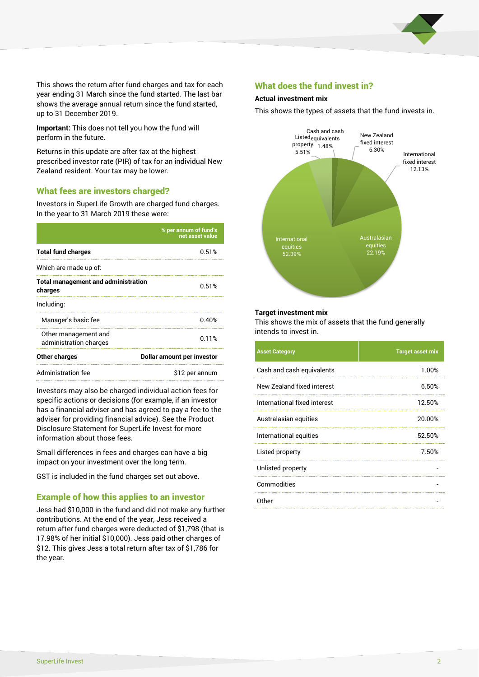

This shows the return after fund charges and tax for each year ending 31 March since the fund started. The last bar shows the average annual return since the fund started, up to 31 December 2019.

**Important:** This does not tell you how the fund will perform in the future.

Returns in this update are after tax at the highest prescribed investor rate (PIR) of tax for an individual New Zealand resident. Your tax may be lower.

#### What fees are investors charged?

Investors in SuperLife Growth are charged fund charges. In the year to 31 March 2019 these were:

|                                                       | % per annum of fund's<br>net asset value |  |
|-------------------------------------------------------|------------------------------------------|--|
| <b>Total fund charges</b>                             | 0.51%                                    |  |
| Which are made up of:                                 |                                          |  |
| <b>Total management and administration</b><br>charges | 0.51%                                    |  |
| Including:                                            |                                          |  |
| Manager's basic fee                                   | 0.40%                                    |  |
| Other management and<br>administration charges        | 0.11%                                    |  |
| Other charges                                         | Dollar amount per investor               |  |
| Administration fee                                    | \$12 per annum                           |  |

Investors may also be charged individual action fees for specific actions or decisions (for example, if an investor has a financial adviser and has agreed to pay a fee to the adviser for providing financial advice). See the Product Disclosure Statement for SuperLife Invest for more information about those fees.

Small differences in fees and charges can have a big impact on your investment over the long term.

GST is included in the fund charges set out above.

#### Example of how this applies to an investor

Jess had \$10,000 in the fund and did not make any further contributions. At the end of the year, Jess received a return after fund charges were deducted of \$1,798 (that is 17.98% of her initial \$10,000). Jess paid other charges of \$12. This gives Jess a total return after tax of \$1,786 for the year.

#### What does the fund invest in?

#### **Actual investment mix**

This shows the types of assets that the fund invests in.



#### **Target investment mix**

This shows the mix of assets that the fund generally intends to invest in.

| <b>Asset Category</b>        | <b>Target asset mix</b> |
|------------------------------|-------------------------|
| Cash and cash equivalents    | 1.00%                   |
| New Zealand fixed interest   | 6.50%                   |
| International fixed interest | 12.50%                  |
| Australasian equities        | 20.00%                  |
| International equities       | 52.50%                  |
| Listed property              | 7.50%                   |
| Unlisted property            |                         |
| Commodities                  |                         |
| Other                        |                         |